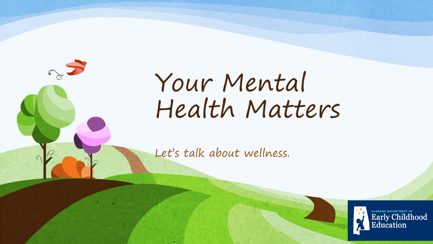

Let's talk about wellness.



ALABAMA DEPARTMENT OF<br>Early Childhood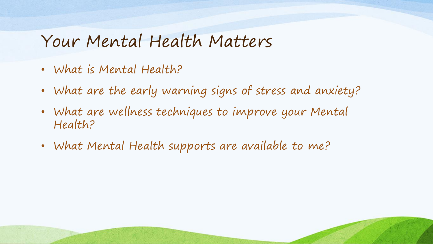# Your Mental Health Matters

- What is Mental Health?
- What are the early warning signs of stress and anxiety?
- What are wellness techniques to improve your Mental Health?
- What Mental Health supports are available to me?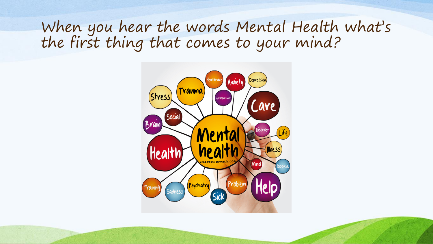When you hear the words Mental Health what's the first thing that comes to your mind?

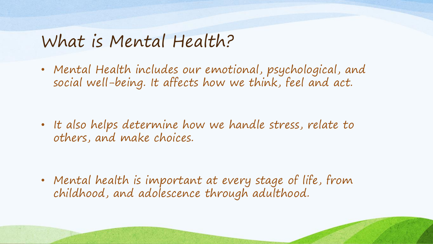# What is Mental Health?

• Mental Health includes our emotional, psychological, and social well-being. It affects how we think, feel and act.

• It also helps determine how we handle stress, relate to others, and make choices.

• Mental health is important at every stage of life, from childhood, and adolescence through adulthood.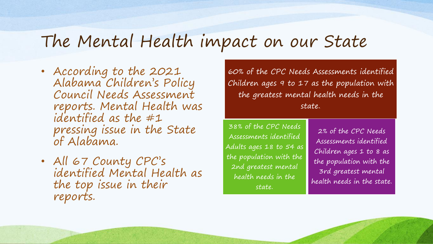# The Mental Health impact on our State

- According to the 2021 Alabama Children's Policy Council Needs Assessment reports. Mental Health was identified as the #1 pressing issue in the State of Alabama.
- All 67 County CPC's identified Mental Health as the top issue in their reports.

60% of the CPC Needs Assessments identified Children ages 9 to 17 as the population with the greatest mental health needs in the state..

38% of the CPC Needs Assessments identified Adults ages 18 to 54 as the population with the 2nd greatest mental health needs in the state.

2% of the CPC Needs Assessments identified Children ages 1 to 8 as the population with the 3rd greatest mental health needs in the state.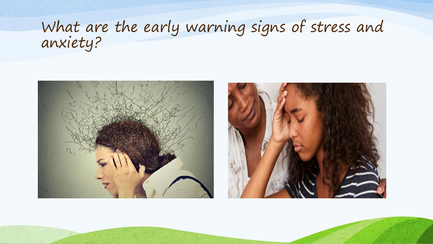# What are the early warning signs of stress and anxiety?



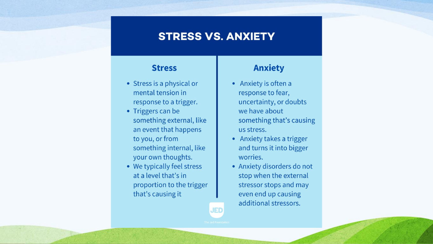#### **STRESS VS. ANXIETY**

**JED** 

#### **Stress**

- Stress is a physical or mental tension in response to a trigger.
- Triggers can be something external, like an event that happens to you, or from something internal, like your own thoughts.
- We typically feel stress at a level that's in proportion to the trigger that's causing it

#### **Anxiety**

- Anxiety is often a response to fear, uncertainty, or doubts we have about something that's causing us stress.
- Anxiety takes a trigger and turns it into bigger worries.
- Anxiety disorders do not stop when the external stressor stops and may even end up causing additional stressors.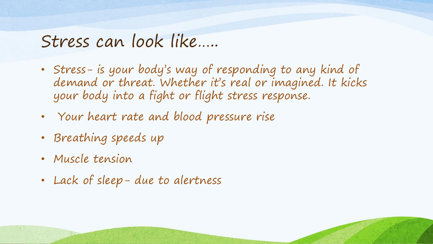# Stress can look like…..

- Stress- is your body's way of responding to any kind of demand or threat. Whether it's real or imagined. It kicks your body into a fight or flight stress response.
- Your heart rate and blood pressure rise
- Breathing speeds up
- Muscle tension
- Lack of sleep- due to alertness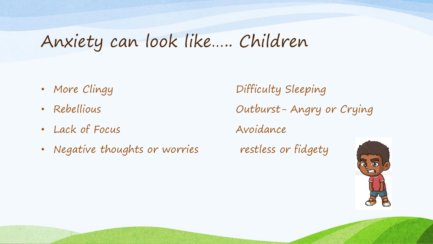# Anxiety can look like….. Children

- 
- 
- Lack of Focus Avoidance
- Negative thoughts or worries restless or fidgety

• More Clingy Difficulty Sleeping • Rebellious Outburst- Angry or Crying

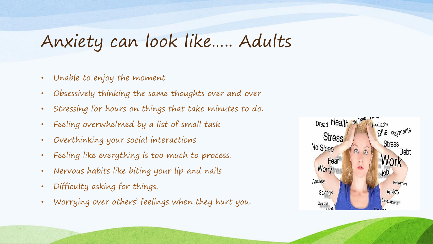# Anxiety can look like….. Adults

- Unable to enjoy the moment
- Obsessively thinking the same thoughts over and over
- Stressing for hours on things that take minutes to do.
- Feeling overwhelmed by a list of small task
- Overthinking your social interactions
- Feeling like everything is too much to process.
- Nervous habits like biting your lip and nails
- Difficulty asking for things.
- Worrying over others' feelings when they hurt you.

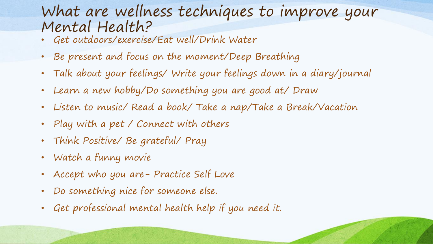### What are wellness techniques to improve your Mental Health?

- Get outdoors/exercise/Eat well/Drink Water
- Be present and focus on the moment/Deep Breathing
- Talk about your feelings/ Write your feelings down in a diary/journal
- Learn a new hobby/Do something you are good at/ Draw
- Listen to music/ Read a book/ Take a nap/Take a Break/Vacation
- Play with a pet / Connect with others
- Think Positive/ Be grateful/ Pray
- Watch a funny movie
- Accept who you are- Practice Self Love
- Do something nice for someone else.
- Get professional mental health help if you need it.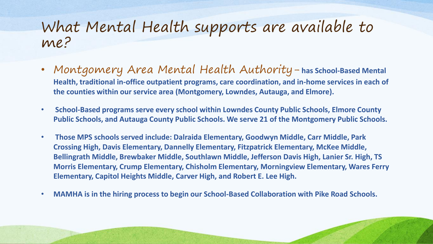- Montgomery Area Mental Health Authority- **has School-Based Mental Health, traditional in-office outpatient programs, care coordination, and in-home services in each of the counties within our service area (Montgomery, Lowndes, Autauga, and Elmore).**
- **School-Based programs serve every school within Lowndes County Public Schools, Elmore County Public Schools, and Autauga County Public Schools. We serve 21 of the Montgomery Public Schools.**
- **Those MPS schools served include: Dalraida Elementary, Goodwyn Middle, Carr Middle, Park Crossing High, Davis Elementary, Dannelly Elementary, Fitzpatrick Elementary, McKee Middle, Bellingrath Middle, Brewbaker Middle, Southlawn Middle, Jefferson Davis High, Lanier Sr. High, TS Morris Elementary, Crump Elementary, Chisholm Elementary, Morningview Elementary, Wares Ferry Elementary, Capitol Heights Middle, Carver High, and Robert E. Lee High.**
- **MAMHA is in the hiring process to begin our School-Based Collaboration with Pike Road Schools.**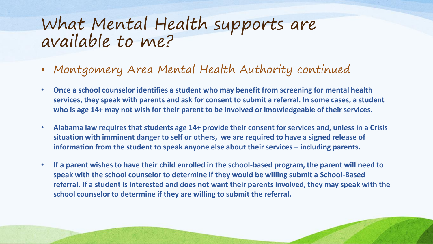- Montgomery Area Mental Health Authority continued
- **Once a school counselor identifies a student who may benefit from screening for mental health services, they speak with parents and ask for consent to submit a referral. In some cases, a student who is age 14+ may not wish for their parent to be involved or knowledgeable of their services.**
- **Alabama law requires that students age 14+ provide their consent for services and, unless in a Crisis situation with imminent danger to self or others, we are required to have a signed release of information from the student to speak anyone else about their services – including parents.**
- **If a parent wishes to have their child enrolled in the school-based program, the parent will need to speak with the school counselor to determine if they would be willing submit a School-Based referral. If a student is interested and does not want their parents involved, they may speak with the school counselor to determine if they are willing to submit the referral.**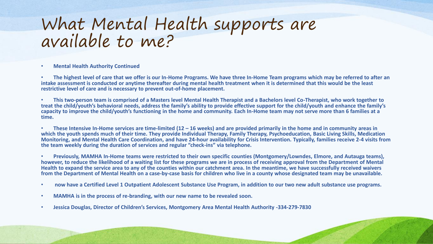• **Mental Health Authority Continued** 

• **The highest level of care that we offer is our In-Home Programs. We have three In-Home Team programs which may be referred to after an intake assessment is conducted or anytime thereafter during mental health treatment when it is determined that this would be the least restrictive level of care and is necessary to prevent out-of-home placement.** 

• **This two-person team is comprised of a Masters level Mental Health Therapist and a Bachelors level Co-Therapist, who work together to treat the child/youth's behavioral needs, address the family's ability to provide effective support for the child/youth and enhance the family's capacity to improve the child/youth's functioning in the home and community. Each In-Home team may not serve more than 6 families at a time.** 

• **These Intensive In-Home services are time-limited (12 – 16 weeks) and are provided primarily in the home and in community areas in**  which the youth spends much of their time. They provide Individual Therapy, Family Therapy, Psychoeducation, Basic Living Skills, Medication **Monitoring, and Mental Health Care Coordination, and have 24-hour availability for Crisis Intervention. Typically, families receive 2-4 visits from the team weekly during the duration of services and regular "check-ins" via telephone.** 

• **Previously, MAMHA In-Home teams were restricted to their own specific counties (Montgomery/Lowndes, Elmore, and Autauga teams), however, to reduce the likelihood of a waiting list for these programs we are in process of receiving approval from the Department of Mental Health to expand the service area to any of the counties within our catchment area. In the meantime, we have successfully received waivers from the Department of Mental Health on a case-by-case basis for children who live in a county whose designated team may be unavailable.** 

- **now have a Certified Level 1 Outpatient Adolescent Substance Use Program, in addition to our two new adult substance use programs.**
- **MAMHA is in the process of re-branding, with our new name to be revealed soon.**
- **Jessica Douglas, Director of Children's Services, Montgomery Area Mental Health Authority -334-279-7830**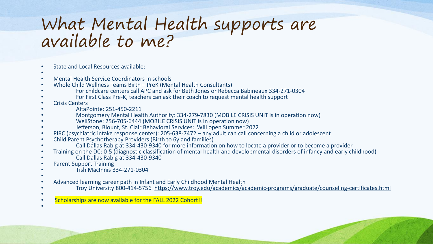- State and Local Resources available:
- •
- Mental Health Service Coordinators in schools
- Whole Child Wellness Teams Birth PreK (Mental Health Consultants)
- For childcare centers call APC and ask for Beth Jones or Rebecca Babineaux 334-271-0304
- For First Class Pre-K, teachers can ask their coach to request mental health support
- Crisis Centers
- AltaPointe: 251-450-2211
- Montgomery Mental Health Authority: 334-279-7830 (MOBILE CRISIS UNIT is in operation now)
- WellStone: 256-705-6444 (MOBILE CRISIS UNIT is in operation now)
- Jefferson, Blount, St. Clair Behavioral Services: Will open Summer 2022
- PIRC (psychiatric intake response center): 205-638-7472 any adult can call concerning a child or adolescent
- Child Parent Psychotherapy Providers (Birth to 6y and families)
- Call Dallas Rabig at 334-430-9340 for more information on how to locate a provider or to become a provider
- Training on the DC: 0-5 (diagnostic classification of mental health and developmental disorders of infancy and early childhood)
- Call Dallas Rabig at 334-430-9340
- Parent Support Training
- Tish MacInnis 334-271-0304
- •
- Advanced learning career path in Infant and Early Childhood Mental Health
- Troy University 800-414-5756 <https://www.troy.edu/academics/academic-programs/graduate/counseling-certificates.html>
- •
- Scholarships are now available for the FALL 2022 Cohort!! •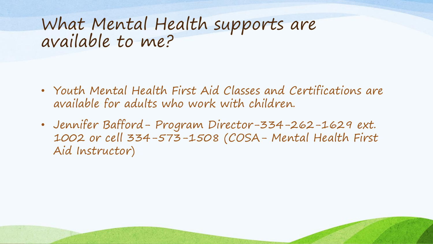- Youth Mental Health First Aid Classes and Certifications are available for adults who work with children.
- Jennifer Bafford- Program Director-334-262-1629 ext. 1002 or cell 334-573-1508 (COSA- Mental Health First Aid Instructor)